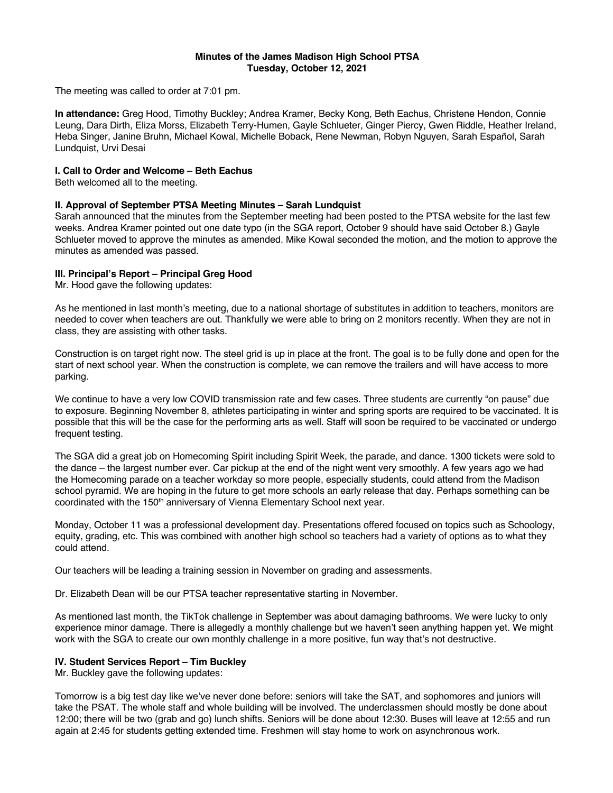### **Minutes of the James Madison High School PTSA Tuesday, October 12, 2021**

The meeting was called to order at 7:01 pm.

**In attendance:** Greg Hood, Timothy Buckley; Andrea Kramer, Becky Kong, Beth Eachus, Christene Hendon, Connie Leung, Dara Dirth, Eliza Morss, Elizabeth Terry-Humen, Gayle Schlueter, Ginger Piercy, Gwen Riddle, Heather Ireland, Heba Singer, Janine Bruhn, Michael Kowal, Michelle Boback, Rene Newman, Robyn Nguyen, Sarah Español, Sarah Lundquist, Urvi Desai

### **I. Call to Order and Welcome – Beth Eachus**

Beth welcomed all to the meeting.

### **II. Approval of September PTSA Meeting Minutes – Sarah Lundquist**

Sarah announced that the minutes from the September meeting had been posted to the PTSA website for the last few weeks. Andrea Kramer pointed out one date typo (in the SGA report, October 9 should have said October 8.) Gayle Schlueter moved to approve the minutes as amended. Mike Kowal seconded the motion, and the motion to approve the minutes as amended was passed.

### **III. Principal's Report – Principal Greg Hood**

Mr. Hood gave the following updates:

As he mentioned in last month's meeting, due to a national shortage of substitutes in addition to teachers, monitors are needed to cover when teachers are out. Thankfully we were able to bring on 2 monitors recently. When they are not in class, they are assisting with other tasks.

Construction is on target right now. The steel grid is up in place at the front. The goal is to be fully done and open for the start of next school year. When the construction is complete, we can remove the trailers and will have access to more parking.

We continue to have a very low COVID transmission rate and few cases. Three students are currently "on pause" due to exposure. Beginning November 8, athletes participating in winter and spring sports are required to be vaccinated. It is possible that this will be the case for the performing arts as well. Staff will soon be required to be vaccinated or undergo frequent testing.

The SGA did a great job on Homecoming Spirit including Spirit Week, the parade, and dance. 1300 tickets were sold to the dance – the largest number ever. Car pickup at the end of the night went very smoothly. A few years ago we had the Homecoming parade on a teacher workday so more people, especially students, could attend from the Madison school pyramid. We are hoping in the future to get more schools an early release that day. Perhaps something can be coordinated with the 150<sup>th</sup> anniversary of Vienna Elementary School next year.

Monday, October 11 was a professional development day. Presentations offered focused on topics such as Schoology, equity, grading, etc. This was combined with another high school so teachers had a variety of options as to what they could attend.

Our teachers will be leading a training session in November on grading and assessments.

Dr. Elizabeth Dean will be our PTSA teacher representative starting in November.

As mentioned last month, the TikTok challenge in September was about damaging bathrooms. We were lucky to only experience minor damage. There is allegedly a monthly challenge but we haven't seen anything happen yet. We might work with the SGA to create our own monthly challenge in a more positive, fun way that's not destructive.

## **IV. Student Services Report – Tim Buckley**

Mr. Buckley gave the following updates:

Tomorrow is a big test day like we've never done before: seniors will take the SAT, and sophomores and juniors will take the PSAT. The whole staff and whole building will be involved. The underclassmen should mostly be done about 12:00; there will be two (grab and go) lunch shifts. Seniors will be done about 12:30. Buses will leave at 12:55 and run again at 2:45 for students getting extended time. Freshmen will stay home to work on asynchronous work.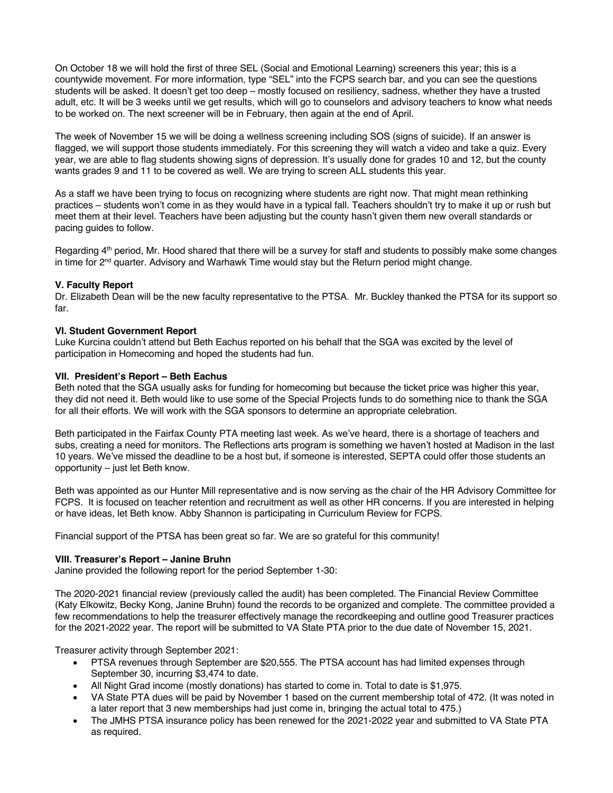On October 18 we will hold the first of three SEL (Social and Emotional Learning) screeners this year; this is a countywide movement. For more information, type "SEL" into the FCPS search bar, and you can see the questions students will be asked. It doesn't get too deep – mostly focused on resiliency, sadness, whether they have a trusted adult, etc. It will be 3 weeks until we get results, which will go to counselors and advisory teachers to know what needs to be worked on. The next screener will be in February, then again at the end of April.

The week of November 15 we will be doing a wellness screening including SOS (signs of suicide). If an answer is flagged, we will support those students immediately. For this screening they will watch a video and take a quiz. Every year, we are able to flag students showing signs of depression. It's usually done for grades 10 and 12, but the county wants grades 9 and 11 to be covered as well. We are trying to screen ALL students this year.

As a staff we have been trying to focus on recognizing where students are right now. That might mean rethinking practices – students won't come in as they would have in a typical fall. Teachers shouldn't try to make it up or rush but meet them at their level. Teachers have been adjusting but the county hasn't given them new overall standards or pacing guides to follow.

Regarding 4<sup>th</sup> period, Mr. Hood shared that there will be a survey for staff and students to possibly make some changes in time for  $2<sup>nd</sup>$  quarter. Advisory and Warhawk Time would stay but the Return period might change.

## **V. Faculty Report**

Dr. Elizabeth Dean will be the new faculty representative to the PTSA. Mr. Buckley thanked the PTSA for its support so far.

# **VI. Student Government Report**

Luke Kurcina couldn't attend but Beth Eachus reported on his behalf that the SGA was excited by the level of participation in Homecoming and hoped the students had fun.

## **VII. President's Report – Beth Eachus**

Beth noted that the SGA usually asks for funding for homecoming but because the ticket price was higher this year, they did not need it. Beth would like to use some of the Special Projects funds to do something nice to thank the SGA for all their efforts. We will work with the SGA sponsors to determine an appropriate celebration.

Beth participated in the Fairfax County PTA meeting last week. As we've heard, there is a shortage of teachers and subs, creating a need for monitors. The Reflections arts program is something we haven't hosted at Madison in the last 10 years. We've missed the deadline to be a host but, if someone is interested, SEPTA could offer those students an opportunity – just let Beth know.

Beth was appointed as our Hunter Mill representative and is now serving as the chair of the HR Advisory Committee for FCPS. It is focused on teacher retention and recruitment as well as other HR concerns. If you are interested in helping or have ideas, let Beth know. Abby Shannon is participating in Curriculum Review for FCPS.

Financial support of the PTSA has been great so far. We are so grateful for this community!

## **VIII. Treasurer's Report – Janine Bruhn**

Janine provided the following report for the period September 1-30:

The 2020-2021 financial review (previously called the audit) has been completed. The Financial Review Committee (Katy Elkowitz, Becky Kong, Janine Bruhn) found the records to be organized and complete. The committee provided a few recommendations to help the treasurer effectively manage the recordkeeping and outline good Treasurer practices for the 2021-2022 year. The report will be submitted to VA State PTA prior to the due date of November 15, 2021.

Treasurer activity through September 2021:

- PTSA revenues through September are \$20,555. The PTSA account has had limited expenses through September 30, incurring \$3,474 to date.
- All Night Grad income (mostly donations) has started to come in. Total to date is \$1,975.
- VA State PTA dues will be paid by November 1 based on the current membership total of 472. (It was noted in a later report that 3 new memberships had just come in, bringing the actual total to 475.)
- The JMHS PTSA insurance policy has been renewed for the 2021-2022 year and submitted to VA State PTA as required.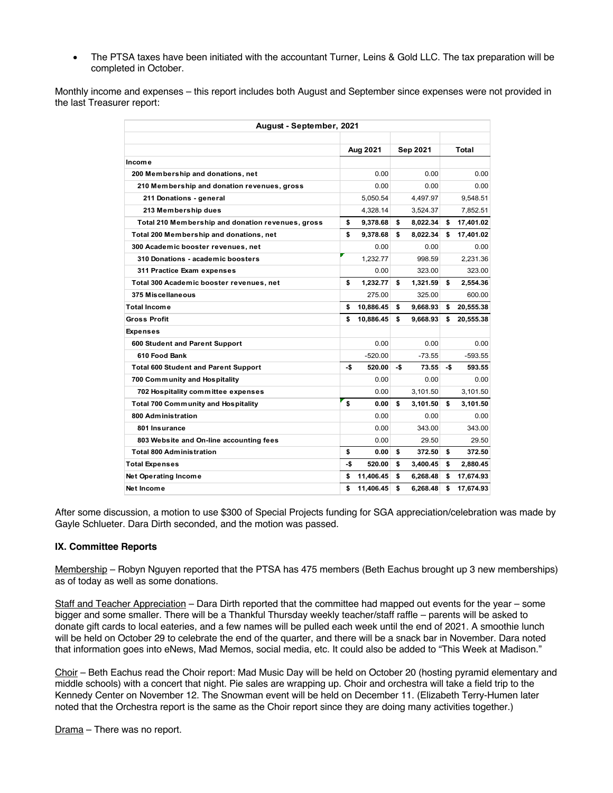• The PTSA taxes have been initiated with the accountant Turner, Leins & Gold LLC. The tax preparation will be completed in October.

Monthly income and expenses – this report includes both August and September since expenses were not provided in the last Treasurer report:

| August - September, 2021                          |          |           |          |          |       |           |
|---------------------------------------------------|----------|-----------|----------|----------|-------|-----------|
|                                                   |          |           |          |          |       |           |
|                                                   | Aug 2021 |           | Sep 2021 |          | Total |           |
| Income                                            |          |           |          |          |       |           |
| 200 Membership and donations, net                 |          | 0.00      |          | 0.00     |       | 0.00      |
| 210 Membership and donation revenues, gross       |          | 0.00      |          | 0.00     |       | 0.00      |
| 211 Donations - general                           |          | 5.050.54  |          | 4.497.97 |       | 9.548.51  |
| 213 Membership dues                               |          | 4,328.14  |          | 3,524.37 |       | 7,852.51  |
| Total 210 Membership and donation revenues, gross | \$       | 9.378.68  | \$       | 8,022.34 | \$    | 17,401.02 |
| Total 200 Membership and donations, net           | \$       | 9,378.68  | \$       | 8,022.34 | \$    | 17,401.02 |
| 300 Academic booster revenues, net                |          | 0.00      |          | 0.00     |       | 0.00      |
| 310 Donations - academic boosters                 |          | 1,232.77  |          | 998.59   |       | 2,231.36  |
| 311 Practice Exam expenses                        |          | 0.00      |          | 323.00   |       | 323.00    |
| Total 300 Academic booster revenues, net          | \$       | 1,232.77  | \$       | 1,321.59 | \$    | 2,554.36  |
| 375 Miscellaneous                                 |          | 275.00    |          | 325.00   |       | 600.00    |
| Total Income                                      | \$       | 10,886.45 | \$       | 9,668.93 | \$    | 20,555.38 |
| Gross Profit                                      | \$       | 10,886.45 | \$       | 9,668.93 | \$    | 20,555.38 |
| Expenses                                          |          |           |          |          |       |           |
| 600 Student and Parent Support                    |          | 0.00      |          | 0.00     |       | 0.00      |
| 610 Food Bank                                     |          | $-520.00$ |          | $-73.55$ |       | $-593.55$ |
| <b>Total 600 Student and Parent Support</b>       | -\$      | 520.00    | -\$      | 73.55    | -\$   | 593.55    |
| 700 Community and Hospitality                     |          | 0.00      |          | 0.00     |       | 0.00      |
| 702 Hospitality committee expenses                |          | 0.00      |          | 3,101.50 |       | 3,101.50  |
| <b>Total 700 Community and Hospitality</b>        | \$       | 0.00      | \$       | 3,101.50 | \$    | 3,101.50  |
| 800 Administration                                |          | 0.00      |          | 0.00     |       | 0.00      |
| 801 Insurance                                     |          | 0.00      |          | 343.00   |       | 343.00    |
| 803 Website and On-line accounting fees           |          | 0.00      |          | 29.50    |       | 29.50     |
| <b>Total 800 Administration</b>                   | \$       | 0.00      | \$       | 372.50   | \$    | 372.50    |
| <b>Total Expenses</b>                             | -\$      | 520.00    | \$       | 3,400.45 | \$    | 2,880.45  |
| <b>Net Operating Income</b>                       | \$       | 11,406.45 | \$       | 6,268.48 | \$    | 17,674.93 |
| Net Income                                        | \$       | 11,406.45 | \$       | 6,268.48 | \$    | 17,674.93 |

After some discussion, a motion to use \$300 of Special Projects funding for SGA appreciation/celebration was made by Gayle Schlueter. Dara Dirth seconded, and the motion was passed.

## **IX. Committee Reports**

Membership – Robyn Nguyen reported that the PTSA has 475 members (Beth Eachus brought up 3 new memberships) as of today as well as some donations.

Staff and Teacher Appreciation – Dara Dirth reported that the committee had mapped out events for the year – some bigger and some smaller. There will be a Thankful Thursday weekly teacher/staff raffle – parents will be asked to donate gift cards to local eateries, and a few names will be pulled each week until the end of 2021. A smoothie lunch will be held on October 29 to celebrate the end of the quarter, and there will be a snack bar in November. Dara noted that information goes into eNews, Mad Memos, social media, etc. It could also be added to "This Week at Madison."

Choir - Beth Eachus read the Choir report: Mad Music Day will be held on October 20 (hosting pyramid elementary and middle schools) with a concert that night. Pie sales are wrapping up. Choir and orchestra will take a field trip to the Kennedy Center on November 12. The Snowman event will be held on December 11. (Elizabeth Terry-Humen later noted that the Orchestra report is the same as the Choir report since they are doing many activities together.)

Drama – There was no report.